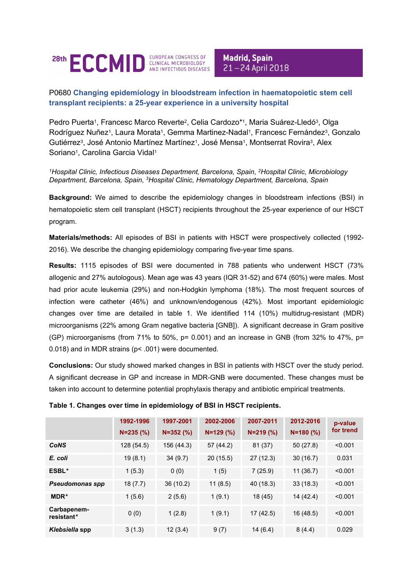

**Madrid, Spain** 21-24 April 2018

## P0680 **Changing epidemiology in bloodstream infection in haematopoietic stem cell transplant recipients: a 25-year experience in a university hospital**

Pedro Puerta<sup>1</sup>, Francesc Marco Reverte<sup>2</sup>, Celia Cardozo\*1, Maria Suárez-Lledó<sup>3</sup>, Olga Rodríguez Nuñez<sup>1</sup>, Laura Morata<sup>1</sup>, Gemma Martinez-Nadal<sup>1</sup>, Francesc Fernández<sup>3</sup>, Gonzalo Gutiérrez<sup>3</sup>, José Antonio Martínez Martínez<sup>1</sup>, José Mensa<sup>1</sup>, Montserrat Rovira<sup>3</sup>, Alex Soriano<sup>1</sup>, Carolina Garcia Vidal<sup>1</sup>

*<sup>1</sup>Hospital Clinic, Infectious Diseases Department, Barcelona, Spain*, *<sup>2</sup>Hospital Clinic, Microbiology Department, Barcelona, Spain*, *<sup>3</sup>Hospital Clinic, Hematology Department, Barcelona, Spain*

**Background:** We aimed to describe the epidemiology changes in bloodstream infections (BSI) in hematopoietic stem cell transplant (HSCT) recipients throughout the 25-year experience of our HSCT program.

**Materials/methods:** All episodes of BSI in patients with HSCT were prospectively collected (1992- 2016). We describe the changing epidemiology comparing five-year time spans.

**Results:** 1115 episodes of BSI were documented in 788 patients who underwent HSCT (73% allogenic and 27% autologous). Mean age was 43 years (IQR 31-52) and 674 (60%) were males. Most had prior acute leukemia (29%) and non-Hodgkin lymphoma (18%). The most frequent sources of infection were catheter (46%) and unknown/endogenous (42%). Most important epidemiologic changes over time are detailed in table 1. We identified 114 (10%) multidrug-resistant (MDR) microorganisms (22% among Gram negative bacteria [GNB]). A significant decrease in Gram positive (GP) microorganisms (from 71% to 50%,  $p= 0.001$ ) and an increase in GNB (from 32% to 47%,  $p=$ 0.018) and in MDR strains (p< .001) were documented.

**Conclusions:** Our study showed marked changes in BSI in patients with HSCT over the study period. A significant decrease in GP and increase in MDR-GNB were documented. These changes must be taken into account to determine potential prophylaxis therapy and antibiotic empirical treatments.

|                           | 1992-1996<br>$N = 235$ (%) | 1997-2001<br>$N = 352$ (%) | 2002-2006<br>$N=129$ (%) | 2007-2011<br>$N = 219$ (%) | 2012-2016<br>$N = 180$ (%) | p-value<br>for trend |
|---------------------------|----------------------------|----------------------------|--------------------------|----------------------------|----------------------------|----------------------|
| <b>CoNS</b>               | 128 (54.5)                 | 156 (44.3)                 | 57 (44.2)                | 81 (37)                    | 50(27.8)                   | < 0.001              |
| E. coli                   | 19(8.1)                    | 34(9.7)                    | 20(15.5)                 | 27(12.3)                   | 30(16.7)                   | 0.031                |
| ESBL*                     | 1(5.3)                     | 0(0)                       | 1(5)                     | 7(25.9)                    | 11(36.7)                   | < 0.001              |
| <b>Pseudomonas spp</b>    | 18(7.7)                    | 36 (10.2)                  | 11(8.5)                  | 40 (18.3)                  | 33(18.3)                   | < 0.001              |
| MDR*                      | 1(5.6)                     | 2(5.6)                     | 1(9.1)                   | 18 (45)                    | 14 (42.4)                  | < 0.001              |
| Carbapenem-<br>resistant* | 0(0)                       | 1(2.8)                     | 1(9.1)                   | 17(42.5)                   | 16 (48.5)                  | < 0.001              |
| Klebsiella spp            | 3(1.3)                     | 12(3.4)                    | 9(7)                     | 14(6.4)                    | 8(4.4)                     | 0.029                |

## **Table 1. Changes over time in epidemiology of BSI in HSCT recipients.**